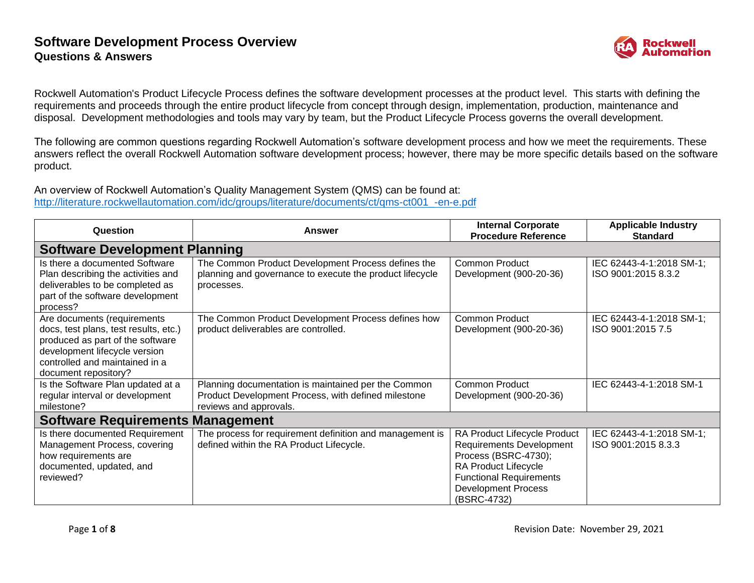

Rockwell Automation's Product Lifecycle Process defines the software development processes at the product level. This starts with defining the requirements and proceeds through the entire product lifecycle from concept through design, implementation, production, maintenance and disposal. Development methodologies and tools may vary by team, but the Product Lifecycle Process governs the overall development.

The following are common questions regarding Rockwell Automation's software development process and how we meet the requirements. These answers reflect the overall Rockwell Automation software development process; however, there may be more specific details based on the software product.

An overview of Rockwell Automation's Quality Management System (QMS) can be found at: [http://literature.rockwellautomation.com/idc/groups/literature/documents/ct/qms-ct001\\_-en-e.pdf](http://literature.rockwellautomation.com/idc/groups/literature/documents/ct/qms-ct001_-en-e.pdf)

| Question                                                                                                                                                                                            | Answer                                                                                                                               | <b>Internal Corporate</b><br><b>Procedure Reference</b>                                                                                                                                        | <b>Applicable Industry</b><br><b>Standard</b>   |
|-----------------------------------------------------------------------------------------------------------------------------------------------------------------------------------------------------|--------------------------------------------------------------------------------------------------------------------------------------|------------------------------------------------------------------------------------------------------------------------------------------------------------------------------------------------|-------------------------------------------------|
| <b>Software Development Planning</b>                                                                                                                                                                |                                                                                                                                      |                                                                                                                                                                                                |                                                 |
| Is there a documented Software<br>Plan describing the activities and<br>deliverables to be completed as<br>part of the software development<br>process?                                             | The Common Product Development Process defines the<br>planning and governance to execute the product lifecycle<br>processes.         | Common Product<br>Development (900-20-36)                                                                                                                                                      | IEC 62443-4-1:2018 SM-1;<br>ISO 9001:2015 8.3.2 |
| Are documents (requirements<br>docs, test plans, test results, etc.)<br>produced as part of the software<br>development lifecycle version<br>controlled and maintained in a<br>document repository? | The Common Product Development Process defines how<br>product deliverables are controlled.                                           | <b>Common Product</b><br>Development (900-20-36)                                                                                                                                               | IEC 62443-4-1:2018 SM-1;<br>ISO 9001:2015 7.5   |
| Is the Software Plan updated at a<br>regular interval or development<br>milestone?                                                                                                                  | Planning documentation is maintained per the Common<br>Product Development Process, with defined milestone<br>reviews and approvals. | Common Product<br>Development (900-20-36)                                                                                                                                                      | IEC 62443-4-1:2018 SM-1                         |
| <b>Software Requirements Management</b>                                                                                                                                                             |                                                                                                                                      |                                                                                                                                                                                                |                                                 |
| Is there documented Requirement<br>Management Process, covering<br>how requirements are<br>documented, updated, and<br>reviewed?                                                                    | The process for requirement definition and management is<br>defined within the RA Product Lifecycle.                                 | RA Product Lifecycle Product<br><b>Requirements Development</b><br>Process (BSRC-4730);<br>RA Product Lifecycle<br><b>Functional Requirements</b><br><b>Development Process</b><br>(BSRC-4732) | IEC 62443-4-1:2018 SM-1;<br>ISO 9001:2015 8.3.3 |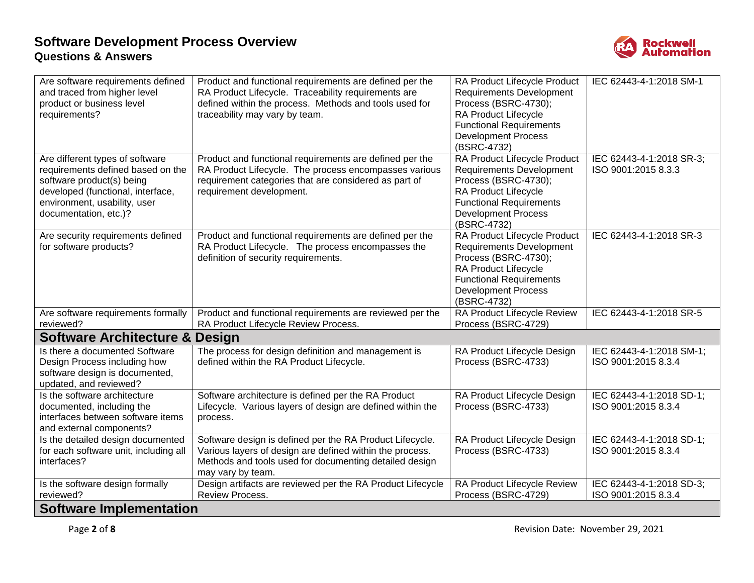

| Are software requirements defined<br>and traced from higher level<br>product or business level<br>requirements?                                                                                 | Product and functional requirements are defined per the<br>RA Product Lifecycle. Traceability requirements are<br>defined within the process. Methods and tools used for<br>traceability may vary by team. | RA Product Lifecycle Product<br><b>Requirements Development</b><br>Process (BSRC-4730);<br><b>RA Product Lifecycle</b><br><b>Functional Requirements</b><br><b>Development Process</b><br>(BSRC-4732) | IEC 62443-4-1:2018 SM-1                         |
|-------------------------------------------------------------------------------------------------------------------------------------------------------------------------------------------------|------------------------------------------------------------------------------------------------------------------------------------------------------------------------------------------------------------|-------------------------------------------------------------------------------------------------------------------------------------------------------------------------------------------------------|-------------------------------------------------|
| Are different types of software<br>requirements defined based on the<br>software product(s) being<br>developed (functional, interface,<br>environment, usability, user<br>documentation, etc.)? | Product and functional requirements are defined per the<br>RA Product Lifecycle. The process encompasses various<br>requirement categories that are considered as part of<br>requirement development.      | RA Product Lifecycle Product<br><b>Requirements Development</b><br>Process (BSRC-4730);<br>RA Product Lifecycle<br><b>Functional Requirements</b><br><b>Development Process</b><br>(BSRC-4732)        | IEC 62443-4-1:2018 SR-3;<br>ISO 9001:2015 8.3.3 |
| Are security requirements defined<br>for software products?                                                                                                                                     | Product and functional requirements are defined per the<br>RA Product Lifecycle. The process encompasses the<br>definition of security requirements.                                                       | RA Product Lifecycle Product<br><b>Requirements Development</b><br>Process (BSRC-4730);<br>RA Product Lifecycle<br><b>Functional Requirements</b><br><b>Development Process</b><br>(BSRC-4732)        | IEC 62443-4-1:2018 SR-3                         |
| Are software requirements formally<br>reviewed?                                                                                                                                                 | Product and functional requirements are reviewed per the<br>RA Product Lifecycle Review Process.                                                                                                           | RA Product Lifecycle Review<br>Process (BSRC-4729)                                                                                                                                                    | IEC 62443-4-1:2018 SR-5                         |
| <b>Software Architecture &amp; Design</b>                                                                                                                                                       |                                                                                                                                                                                                            |                                                                                                                                                                                                       |                                                 |
| Is there a documented Software<br>Design Process including how<br>software design is documented,<br>updated, and reviewed?                                                                      | The process for design definition and management is<br>defined within the RA Product Lifecycle.                                                                                                            | RA Product Lifecycle Design<br>Process (BSRC-4733)                                                                                                                                                    | IEC 62443-4-1:2018 SM-1;<br>ISO 9001:2015 8.3.4 |
| Is the software architecture<br>documented, including the<br>interfaces between software items<br>and external components?                                                                      | Software architecture is defined per the RA Product<br>Lifecycle. Various layers of design are defined within the<br>process.                                                                              | RA Product Lifecycle Design<br>Process (BSRC-4733)                                                                                                                                                    | IEC 62443-4-1:2018 SD-1;<br>ISO 9001:2015 8.3.4 |
| Is the detailed design documented<br>for each software unit, including all<br>interfaces?                                                                                                       | Software design is defined per the RA Product Lifecycle.<br>Various layers of design are defined within the process.<br>Methods and tools used for documenting detailed design<br>may vary by team.        | RA Product Lifecycle Design<br>Process (BSRC-4733)                                                                                                                                                    | IEC 62443-4-1:2018 SD-1;<br>ISO 9001:2015 8.3.4 |
| Is the software design formally<br>reviewed?                                                                                                                                                    | Design artifacts are reviewed per the RA Product Lifecycle<br>Review Process.                                                                                                                              | RA Product Lifecycle Review<br>Process (BSRC-4729)                                                                                                                                                    | IEC 62443-4-1:2018 SD-3;<br>ISO 9001:2015 8.3.4 |
| <b>Software Implementation</b>                                                                                                                                                                  |                                                                                                                                                                                                            |                                                                                                                                                                                                       |                                                 |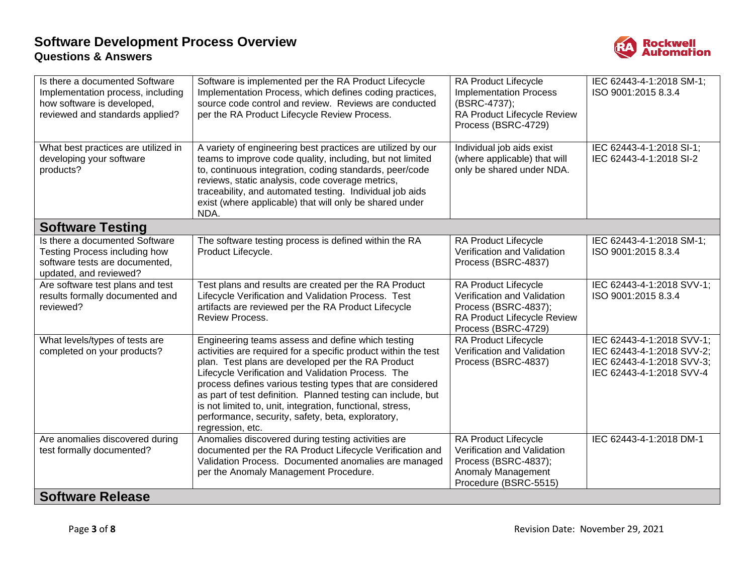

| Is there a documented Software<br>Implementation process, including<br>how software is developed,<br>reviewed and standards applied? | Software is implemented per the RA Product Lifecycle<br>Implementation Process, which defines coding practices,<br>source code control and review. Reviews are conducted<br>per the RA Product Lifecycle Review Process.                                                                                                                                                                                                                                                                          | RA Product Lifecycle<br><b>Implementation Process</b><br>(BSRC-4737);<br>RA Product Lifecycle Review<br>Process (BSRC-4729)              | IEC 62443-4-1:2018 SM-1;<br>ISO 9001:2015 8.3.4                                                                 |
|--------------------------------------------------------------------------------------------------------------------------------------|---------------------------------------------------------------------------------------------------------------------------------------------------------------------------------------------------------------------------------------------------------------------------------------------------------------------------------------------------------------------------------------------------------------------------------------------------------------------------------------------------|------------------------------------------------------------------------------------------------------------------------------------------|-----------------------------------------------------------------------------------------------------------------|
| What best practices are utilized in<br>developing your software<br>products?                                                         | A variety of engineering best practices are utilized by our<br>teams to improve code quality, including, but not limited<br>to, continuous integration, coding standards, peer/code<br>reviews, static analysis, code coverage metrics,<br>traceability, and automated testing. Individual job aids<br>exist (where applicable) that will only be shared under<br>NDA.                                                                                                                            | Individual job aids exist<br>(where applicable) that will<br>only be shared under NDA.                                                   | IEC 62443-4-1:2018 SI-1;<br>IEC 62443-4-1:2018 SI-2                                                             |
| <b>Software Testing</b>                                                                                                              |                                                                                                                                                                                                                                                                                                                                                                                                                                                                                                   |                                                                                                                                          |                                                                                                                 |
| Is there a documented Software<br>Testing Process including how<br>software tests are documented,<br>updated, and reviewed?          | The software testing process is defined within the RA<br>Product Lifecycle.                                                                                                                                                                                                                                                                                                                                                                                                                       | RA Product Lifecycle<br>Verification and Validation<br>Process (BSRC-4837)                                                               | IEC 62443-4-1:2018 SM-1;<br>ISO 9001:2015 8.3.4                                                                 |
| Are software test plans and test<br>results formally documented and<br>reviewed?                                                     | Test plans and results are created per the RA Product<br>Lifecycle Verification and Validation Process. Test<br>artifacts are reviewed per the RA Product Lifecycle<br><b>Review Process.</b>                                                                                                                                                                                                                                                                                                     | <b>RA Product Lifecycle</b><br>Verification and Validation<br>Process (BSRC-4837);<br>RA Product Lifecycle Review<br>Process (BSRC-4729) | IEC 62443-4-1:2018 SVV-1;<br>ISO 9001:2015 8.3.4                                                                |
| What levels/types of tests are<br>completed on your products?                                                                        | Engineering teams assess and define which testing<br>activities are required for a specific product within the test<br>plan. Test plans are developed per the RA Product<br>Lifecycle Verification and Validation Process. The<br>process defines various testing types that are considered<br>as part of test definition. Planned testing can include, but<br>is not limited to, unit, integration, functional, stress,<br>performance, security, safety, beta, exploratory,<br>regression, etc. | RA Product Lifecycle<br>Verification and Validation<br>Process (BSRC-4837)                                                               | IEC 62443-4-1:2018 SVV-1;<br>IEC 62443-4-1:2018 SVV-2;<br>IEC 62443-4-1:2018 SVV-3;<br>IEC 62443-4-1:2018 SVV-4 |
| Are anomalies discovered during<br>test formally documented?                                                                         | Anomalies discovered during testing activities are<br>documented per the RA Product Lifecycle Verification and<br>Validation Process. Documented anomalies are managed<br>per the Anomaly Management Procedure.                                                                                                                                                                                                                                                                                   | <b>RA Product Lifecycle</b><br>Verification and Validation<br>Process (BSRC-4837);<br>Anomaly Management<br>Procedure (BSRC-5515)        | IEC 62443-4-1:2018 DM-1                                                                                         |
| <b>Software Release</b>                                                                                                              |                                                                                                                                                                                                                                                                                                                                                                                                                                                                                                   |                                                                                                                                          |                                                                                                                 |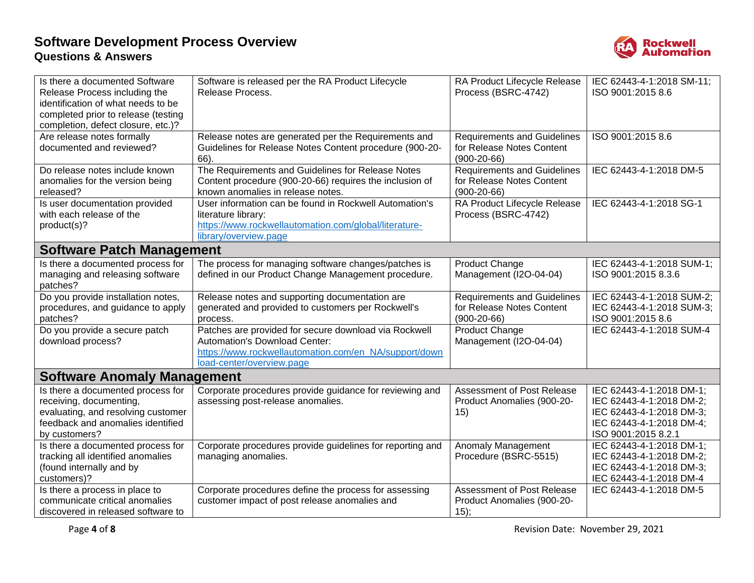

| Is there a documented Software<br>Release Process including the<br>identification of what needs to be<br>completed prior to release (testing<br>completion, defect closure, etc.)? | Software is released per the RA Product Lifecycle<br>Release Process.                                                                                                        | RA Product Lifecycle Release<br>Process (BSRC-4742)                              | IEC 62443-4-1:2018 SM-11;<br>ISO 9001:2015 8.6                                                                                      |
|------------------------------------------------------------------------------------------------------------------------------------------------------------------------------------|------------------------------------------------------------------------------------------------------------------------------------------------------------------------------|----------------------------------------------------------------------------------|-------------------------------------------------------------------------------------------------------------------------------------|
| Are release notes formally<br>documented and reviewed?                                                                                                                             | Release notes are generated per the Requirements and<br>Guidelines for Release Notes Content procedure (900-20-<br>66).                                                      | <b>Requirements and Guidelines</b><br>for Release Notes Content<br>$(900-20-66)$ | ISO 9001:2015 8.6                                                                                                                   |
| Do release notes include known<br>anomalies for the version being<br>released?                                                                                                     | The Requirements and Guidelines for Release Notes<br>Content procedure (900-20-66) requires the inclusion of<br>known anomalies in release notes.                            | <b>Requirements and Guidelines</b><br>for Release Notes Content<br>$(900-20-66)$ | IEC 62443-4-1:2018 DM-5                                                                                                             |
| Is user documentation provided<br>with each release of the<br>product(s)?                                                                                                          | User information can be found in Rockwell Automation's<br>literature library:<br>https://www.rockwellautomation.com/global/literature-<br>library/overview.page              | RA Product Lifecycle Release<br>Process (BSRC-4742)                              | IEC 62443-4-1:2018 SG-1                                                                                                             |
| <b>Software Patch Management</b>                                                                                                                                                   |                                                                                                                                                                              |                                                                                  |                                                                                                                                     |
| Is there a documented process for<br>managing and releasing software<br>patches?                                                                                                   | The process for managing software changes/patches is<br>defined in our Product Change Management procedure.                                                                  | Product Change<br>Management (I2O-04-04)                                         | IEC 62443-4-1:2018 SUM-1;<br>ISO 9001:2015 8.3.6                                                                                    |
| Do you provide installation notes,<br>procedures, and guidance to apply<br>patches?                                                                                                | Release notes and supporting documentation are<br>generated and provided to customers per Rockwell's<br>process.                                                             | <b>Requirements and Guidelines</b><br>for Release Notes Content<br>$(900-20-66)$ | IEC 62443-4-1:2018 SUM-2;<br>IEC 62443-4-1:2018 SUM-3;<br>ISO 9001:2015 8.6                                                         |
| Do you provide a secure patch<br>download process?                                                                                                                                 | Patches are provided for secure download via Rockwell<br>Automation's Download Center:<br>https://www.rockwellautomation.com/en_NA/support/down<br>load-center/overview.page | Product Change<br>Management (I2O-04-04)                                         | IEC 62443-4-1:2018 SUM-4                                                                                                            |
| <b>Software Anomaly Management</b>                                                                                                                                                 |                                                                                                                                                                              |                                                                                  |                                                                                                                                     |
| Is there a documented process for<br>receiving, documenting,<br>evaluating, and resolving customer<br>feedback and anomalies identified<br>by customers?                           | Corporate procedures provide guidance for reviewing and<br>assessing post-release anomalies.                                                                                 | Assessment of Post Release<br>Product Anomalies (900-20-<br>15)                  | IEC 62443-4-1:2018 DM-1;<br>IEC 62443-4-1:2018 DM-2;<br>IEC 62443-4-1:2018 DM-3;<br>IEC 62443-4-1:2018 DM-4;<br>ISO 9001:2015 8.2.1 |
| Is there a documented process for<br>tracking all identified anomalies<br>(found internally and by<br>customers)?                                                                  | Corporate procedures provide guidelines for reporting and<br>managing anomalies.                                                                                             | Anomaly Management<br>Procedure (BSRC-5515)                                      | IEC 62443-4-1:2018 DM-1;<br>IEC 62443-4-1:2018 DM-2;<br>IEC 62443-4-1:2018 DM-3;<br>IEC 62443-4-1:2018 DM-4                         |
| Is there a process in place to<br>communicate critical anomalies<br>discovered in released software to                                                                             | Corporate procedures define the process for assessing<br>customer impact of post release anomalies and                                                                       | Assessment of Post Release<br>Product Anomalies (900-20-<br>15);                 | IEC 62443-4-1:2018 DM-5                                                                                                             |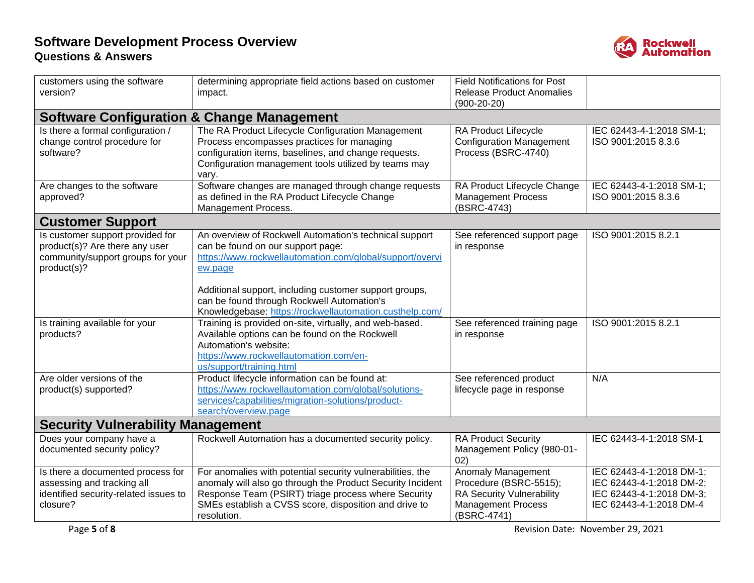

| customers using the software<br>version?                                                                               | determining appropriate field actions based on customer<br>impact.                                                                                                                                                                                      | <b>Field Notifications for Post</b><br><b>Release Product Anomalies</b><br>$(900-20-20)$                                     |                                                                                                             |
|------------------------------------------------------------------------------------------------------------------------|---------------------------------------------------------------------------------------------------------------------------------------------------------------------------------------------------------------------------------------------------------|------------------------------------------------------------------------------------------------------------------------------|-------------------------------------------------------------------------------------------------------------|
| <b>Software Configuration &amp; Change Management</b>                                                                  |                                                                                                                                                                                                                                                         |                                                                                                                              |                                                                                                             |
| Is there a formal configuration /<br>change control procedure for<br>software?                                         | The RA Product Lifecycle Configuration Management<br>Process encompasses practices for managing<br>configuration items, baselines, and change requests.<br>Configuration management tools utilized by teams may<br>vary.                                | RA Product Lifecycle<br><b>Configuration Management</b><br>Process (BSRC-4740)                                               | IEC 62443-4-1:2018 SM-1;<br>ISO 9001:2015 8.3.6                                                             |
| Are changes to the software<br>approved?                                                                               | Software changes are managed through change requests<br>as defined in the RA Product Lifecycle Change<br>Management Process.                                                                                                                            | RA Product Lifecycle Change<br><b>Management Process</b><br>(BSRC-4743)                                                      | IEC 62443-4-1:2018 SM-1;<br>ISO 9001:2015 8.3.6                                                             |
| <b>Customer Support</b>                                                                                                |                                                                                                                                                                                                                                                         |                                                                                                                              |                                                                                                             |
| Is customer support provided for<br>product(s)? Are there any user<br>community/support groups for your<br>product(s)? | An overview of Rockwell Automation's technical support<br>can be found on our support page:<br>https://www.rockwellautomation.com/global/support/overvi<br>ew.page<br>Additional support, including customer support groups,                            | See referenced support page<br>in response                                                                                   | ISO 9001:2015 8.2.1                                                                                         |
|                                                                                                                        | can be found through Rockwell Automation's<br>Knowledgebase: https://rockwellautomation.custhelp.com/                                                                                                                                                   |                                                                                                                              |                                                                                                             |
| Is training available for your<br>products?                                                                            | Training is provided on-site, virtually, and web-based.<br>Available options can be found on the Rockwell<br>Automation's website:<br>https://www.rockwellautomation.com/en-<br>us/support/training.html                                                | See referenced training page<br>in response                                                                                  | ISO 9001:2015 8.2.1                                                                                         |
| Are older versions of the<br>product(s) supported?                                                                     | Product lifecycle information can be found at:<br>https://www.rockwellautomation.com/global/solutions-<br>services/capabilities/migration-solutions/product-<br>search/overview.page                                                                    | See referenced product<br>lifecycle page in response                                                                         | N/A                                                                                                         |
| <b>Security Vulnerability Management</b>                                                                               |                                                                                                                                                                                                                                                         |                                                                                                                              |                                                                                                             |
| Does your company have a<br>documented security policy?                                                                | Rockwell Automation has a documented security policy.                                                                                                                                                                                                   | <b>RA Product Security</b><br>Management Policy (980-01-<br>02)                                                              | IEC 62443-4-1:2018 SM-1                                                                                     |
| Is there a documented process for<br>assessing and tracking all<br>identified security-related issues to<br>closure?   | For anomalies with potential security vulnerabilities, the<br>anomaly will also go through the Product Security Incident<br>Response Team (PSIRT) triage process where Security<br>SMEs establish a CVSS score, disposition and drive to<br>resolution. | Anomaly Management<br>Procedure (BSRC-5515);<br><b>RA Security Vulnerability</b><br><b>Management Process</b><br>(BSRC-4741) | IEC 62443-4-1:2018 DM-1;<br>IEC 62443-4-1:2018 DM-2;<br>IEC 62443-4-1:2018 DM-3;<br>IEC 62443-4-1:2018 DM-4 |

Page **5** of **8** Revision Date: November 29, 2021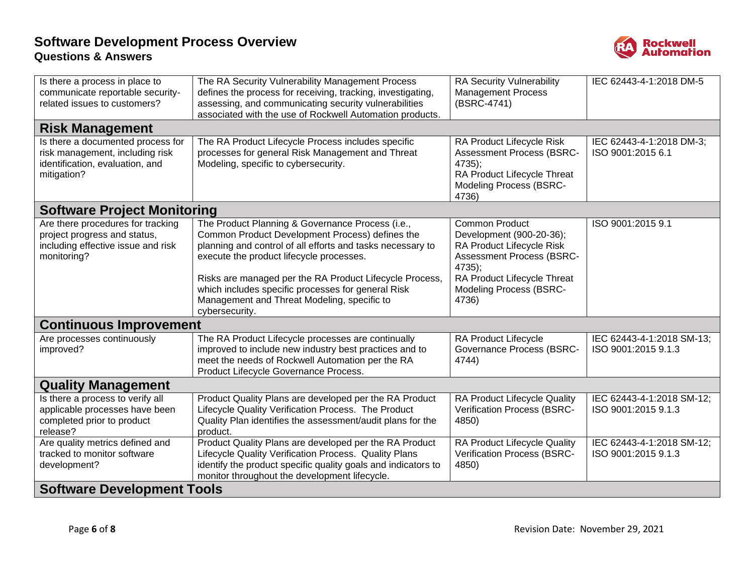

| Is there a process in place to<br>communicate reportable security-<br>related issues to customers?                     | The RA Security Vulnerability Management Process<br>defines the process for receiving, tracking, investigating,<br>assessing, and communicating security vulnerabilities<br>associated with the use of Rockwell Automation products.                                                                                                                                                            | RA Security Vulnerability<br><b>Management Process</b><br>(BSRC-4741)                                                                                                                                  | IEC 62443-4-1:2018 DM-5                          |
|------------------------------------------------------------------------------------------------------------------------|-------------------------------------------------------------------------------------------------------------------------------------------------------------------------------------------------------------------------------------------------------------------------------------------------------------------------------------------------------------------------------------------------|--------------------------------------------------------------------------------------------------------------------------------------------------------------------------------------------------------|--------------------------------------------------|
| <b>Risk Management</b>                                                                                                 |                                                                                                                                                                                                                                                                                                                                                                                                 |                                                                                                                                                                                                        |                                                  |
| Is there a documented process for<br>risk management, including risk<br>identification, evaluation, and<br>mitigation? | The RA Product Lifecycle Process includes specific<br>processes for general Risk Management and Threat<br>Modeling, specific to cybersecurity.                                                                                                                                                                                                                                                  | RA Product Lifecycle Risk<br><b>Assessment Process (BSRC-</b><br>$4735$ ;<br>RA Product Lifecycle Threat<br><b>Modeling Process (BSRC-</b><br>4736)                                                    | IEC 62443-4-1:2018 DM-3;<br>ISO 9001:2015 6.1    |
| <b>Software Project Monitoring</b>                                                                                     |                                                                                                                                                                                                                                                                                                                                                                                                 |                                                                                                                                                                                                        |                                                  |
| Are there procedures for tracking<br>project progress and status,<br>including effective issue and risk<br>monitoring? | The Product Planning & Governance Process (i.e.,<br>Common Product Development Process) defines the<br>planning and control of all efforts and tasks necessary to<br>execute the product lifecycle processes.<br>Risks are managed per the RA Product Lifecycle Process,<br>which includes specific processes for general Risk<br>Management and Threat Modeling, specific to<br>cybersecurity. | <b>Common Product</b><br>Development (900-20-36);<br>RA Product Lifecycle Risk<br><b>Assessment Process (BSRC-</b><br>4735);<br>RA Product Lifecycle Threat<br><b>Modeling Process (BSRC-</b><br>4736) | ISO 9001:2015 9.1                                |
| <b>Continuous Improvement</b>                                                                                          |                                                                                                                                                                                                                                                                                                                                                                                                 |                                                                                                                                                                                                        |                                                  |
| Are processes continuously<br>improved?                                                                                | The RA Product Lifecycle processes are continually<br>improved to include new industry best practices and to<br>meet the needs of Rockwell Automation per the RA<br>Product Lifecycle Governance Process.                                                                                                                                                                                       | RA Product Lifecycle<br><b>Governance Process (BSRC-</b><br>4744)                                                                                                                                      | IEC 62443-4-1:2018 SM-13;<br>ISO 9001:2015 9.1.3 |
| <b>Quality Management</b>                                                                                              |                                                                                                                                                                                                                                                                                                                                                                                                 |                                                                                                                                                                                                        |                                                  |
| Is there a process to verify all<br>applicable processes have been<br>completed prior to product<br>release?           | Product Quality Plans are developed per the RA Product<br>Lifecycle Quality Verification Process. The Product<br>Quality Plan identifies the assessment/audit plans for the<br>product.                                                                                                                                                                                                         | RA Product Lifecycle Quality<br>Verification Process (BSRC-<br>4850)                                                                                                                                   | IEC 62443-4-1:2018 SM-12;<br>ISO 9001:2015 9.1.3 |
| Are quality metrics defined and<br>tracked to monitor software<br>development?                                         | Product Quality Plans are developed per the RA Product<br>Lifecycle Quality Verification Process. Quality Plans<br>identify the product specific quality goals and indicators to<br>monitor throughout the development lifecycle.                                                                                                                                                               | RA Product Lifecycle Quality<br>Verification Process (BSRC-<br>4850)                                                                                                                                   | IEC 62443-4-1:2018 SM-12;<br>ISO 9001:2015 9.1.3 |
| <b>Software Development Tools</b>                                                                                      |                                                                                                                                                                                                                                                                                                                                                                                                 |                                                                                                                                                                                                        |                                                  |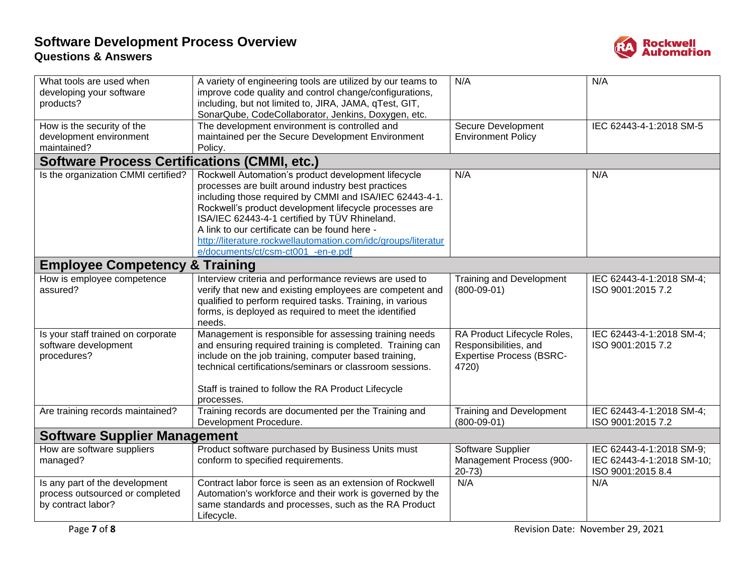

| What tools are used when<br>developing your software<br>products?                       | A variety of engineering tools are utilized by our teams to<br>improve code quality and control change/configurations,<br>including, but not limited to, JIRA, JAMA, qTest, GIT,<br>SonarQube, CodeCollaborator, Jenkins, Doxygen, etc.                                                                                                                                                                                                 | N/A                                                                                              | N/A                                                                        |
|-----------------------------------------------------------------------------------------|-----------------------------------------------------------------------------------------------------------------------------------------------------------------------------------------------------------------------------------------------------------------------------------------------------------------------------------------------------------------------------------------------------------------------------------------|--------------------------------------------------------------------------------------------------|----------------------------------------------------------------------------|
| How is the security of the<br>development environment<br>maintained?                    | The development environment is controlled and<br>maintained per the Secure Development Environment<br>Policy.                                                                                                                                                                                                                                                                                                                           | Secure Development<br><b>Environment Policy</b>                                                  | IEC 62443-4-1:2018 SM-5                                                    |
| <b>Software Process Certifications (CMMI, etc.)</b>                                     |                                                                                                                                                                                                                                                                                                                                                                                                                                         |                                                                                                  |                                                                            |
| Is the organization CMMI certified?                                                     | Rockwell Automation's product development lifecycle<br>processes are built around industry best practices<br>including those required by CMMI and ISA/IEC 62443-4-1.<br>Rockwell's product development lifecycle processes are<br>ISA/IEC 62443-4-1 certified by TÜV Rhineland.<br>A link to our certificate can be found here -<br>http://literature.rockwellautomation.com/idc/groups/literatur<br>e/documents/ct/csm-ct001_-en-e.pdf | N/A                                                                                              | N/A                                                                        |
| <b>Employee Competency &amp; Training</b>                                               |                                                                                                                                                                                                                                                                                                                                                                                                                                         |                                                                                                  |                                                                            |
| How is employee competence<br>assured?                                                  | Interview criteria and performance reviews are used to<br>verify that new and existing employees are competent and<br>qualified to perform required tasks. Training, in various<br>forms, is deployed as required to meet the identified<br>needs.                                                                                                                                                                                      | <b>Training and Development</b><br>$(800-09-01)$                                                 | IEC 62443-4-1:2018 SM-4;<br>ISO 9001:2015 7.2                              |
| Is your staff trained on corporate<br>software development<br>procedures?               | Management is responsible for assessing training needs<br>and ensuring required training is completed. Training can<br>include on the job training, computer based training,<br>technical certifications/seminars or classroom sessions.<br>Staff is trained to follow the RA Product Lifecycle<br>processes.                                                                                                                           | RA Product Lifecycle Roles,<br>Responsibilities, and<br><b>Expertise Process (BSRC-</b><br>4720) | IEC 62443-4-1:2018 SM-4;<br>ISO 9001:2015 7.2                              |
| Are training records maintained?                                                        | Training records are documented per the Training and<br>Development Procedure.                                                                                                                                                                                                                                                                                                                                                          | <b>Training and Development</b><br>$(800-09-01)$                                                 | IEC 62443-4-1:2018 SM-4;<br>ISO 9001:2015 7.2                              |
| <b>Software Supplier Management</b>                                                     |                                                                                                                                                                                                                                                                                                                                                                                                                                         |                                                                                                  |                                                                            |
| How are software suppliers<br>managed?                                                  | Product software purchased by Business Units must<br>conform to specified requirements.                                                                                                                                                                                                                                                                                                                                                 | Software Supplier<br>Management Process (900-<br>$20-73)$                                        | IEC 62443-4-1:2018 SM-9;<br>IEC 62443-4-1:2018 SM-10;<br>ISO 9001:2015 8.4 |
| Is any part of the development<br>process outsourced or completed<br>by contract labor? | Contract labor force is seen as an extension of Rockwell<br>Automation's workforce and their work is governed by the<br>same standards and processes, such as the RA Product<br>Lifecycle.                                                                                                                                                                                                                                              | N/A                                                                                              | N/A                                                                        |